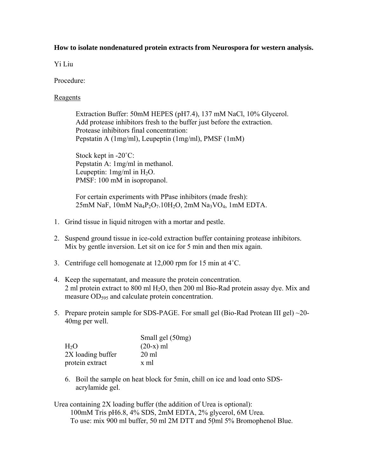## **How to isolate nondenatured protein extracts from Neurospora for western analysis.**

Yi Liu

Procedure:

## Reagents

Extraction Buffer: 50mM HEPES (pH7.4), 137 mM NaCl, 10% Glycerol. Add protease inhibitors fresh to the buffer just before the extraction. Protease inhibitors final concentration: Pepstatin A (1mg/ml), Leupeptin (1mg/ml), PMSF (1mM)

Stock kept in -20<sup>°</sup>C: Pepstatin A: 1mg/ml in methanol. Leupeptin:  $1mg/ml$  in  $H_2O$ . PMSF: 100 mM in isopropanol.

For certain experiments with PPase inhibitors (made fresh): 25mM NaF, 10mM Na4P2O7.10H2O, 2mM Na3VO4, 1mM EDTA.

- 1. Grind tissue in liquid nitrogen with a mortar and pestle.
- 2. Suspend ground tissue in ice-cold extraction buffer containing protease inhibitors. Mix by gentle inversion. Let sit on ice for 5 min and then mix again.
- 3. Centrifuge cell homogenate at 12,000 rpm for 15 min at 4˚C.
- 4. Keep the supernatant, and measure the protein concentration. 2 ml protein extract to 800 ml H2O, then 200 ml Bio-Rad protein assay dye. Mix and measure OD<sub>595</sub> and calculate protein concentration.
- 5. Prepare protein sample for SDS-PAGE. For small gel (Bio-Rad Protean III gel) ~20- 40mg per well.

|                   | Small gel (50mg) |
|-------------------|------------------|
| H <sub>2</sub> O  | $(20-x)$ ml      |
| 2X loading buffer | $20 \text{ ml}$  |
| protein extract   | x ml             |

- 6. Boil the sample on heat block for 5min, chill on ice and load onto SDSacrylamide gel.
- Urea containing 2X loading buffer (the addition of Urea is optional): 100mM Tris pH6.8, 4% SDS, 2mM EDTA, 2% glycerol, 6M Urea. To use: mix 900 ml buffer, 50 ml 2M DTT and 50ml 5% Bromophenol Blue.